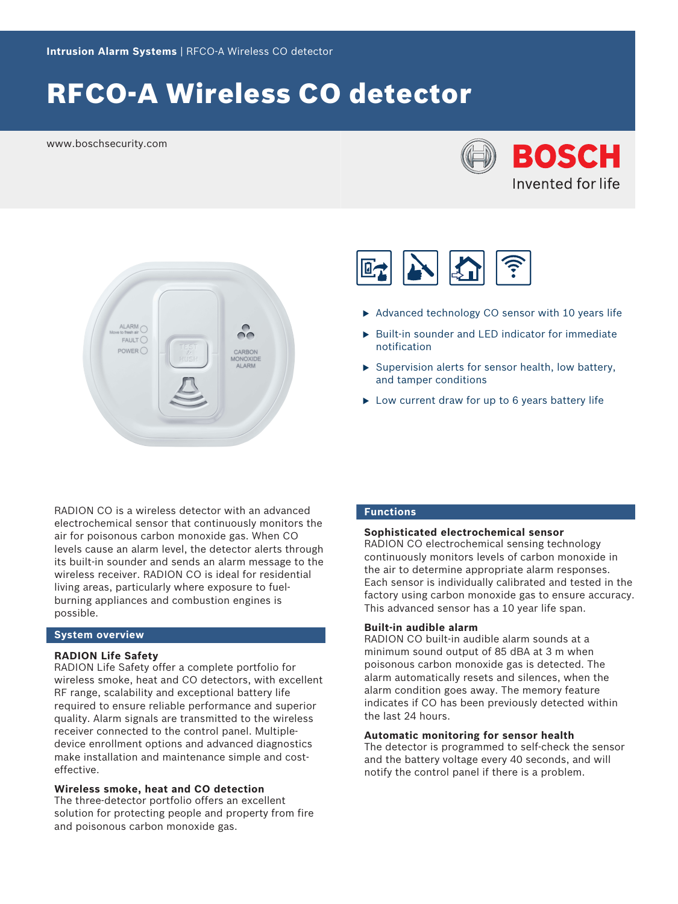# RFCO-A Wireless CO detector

www.boschsecurity.com







- $\triangleright$  Advanced technology CO sensor with 10 years life
- $\triangleright$  Built-in sounder and LED indicator for immediate notification
- $\triangleright$  Supervision alerts for sensor health, low battery, and tamper conditions
- $\triangleright$  Low current draw for up to 6 years battery life

RADION CO is a wireless detector with an advanced electrochemical sensor that continuously monitors the air for poisonous carbon monoxide gas. When CO levels cause an alarm level, the detector alerts through its built-in sounder and sends an alarm message to the wireless receiver. RADION CO is ideal for residential living areas, particularly where exposure to fuelburning appliances and combustion engines is possible.

# **System overview**

# **RADION Life Safety**

RADION Life Safety offer a complete portfolio for wireless smoke, heat and CO detectors, with excellent RF range, scalability and exceptional battery life required to ensure reliable performance and superior quality. Alarm signals are transmitted to the wireless receiver connected to the control panel. Multipledevice enrollment options and advanced diagnostics make installation and maintenance simple and costeffective.

**Wireless smoke, heat and CO detection** The three-detector portfolio offers an excellent solution for protecting people and property from fire and poisonous carbon monoxide gas.

# **Functions**

# **Sophisticated electrochemical sensor**

RADION CO electrochemical sensing technology continuously monitors levels of carbon monoxide in the air to determine appropriate alarm responses. Each sensor is individually calibrated and tested in the factory using carbon monoxide gas to ensure accuracy. This advanced sensor has a 10 year life span.

# **Built-in audible alarm**

RADION CO built-in audible alarm sounds at a minimum sound output of 85 dBA at 3 m when poisonous carbon monoxide gas is detected. The alarm automatically resets and silences, when the alarm condition goes away. The memory feature indicates if CO has been previously detected within the last 24 hours.

# **Automatic monitoring for sensor health**

The detector is programmed to self-check the sensor and the battery voltage every 40 seconds, and will notify the control panel if there is a problem.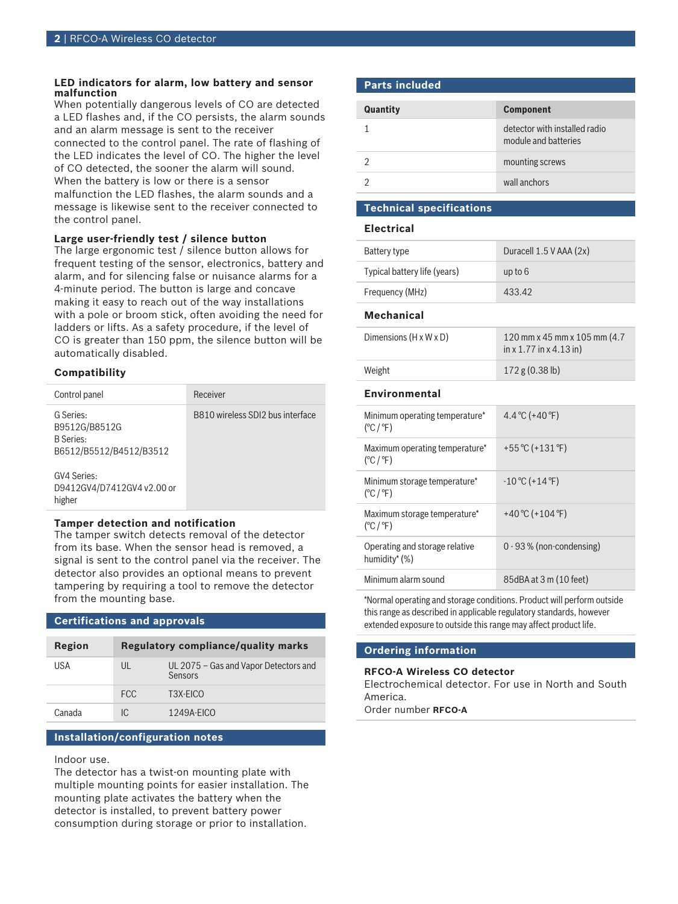#### **LED indicators for alarm, low battery and sensor malfunction**

When potentially dangerous levels of CO are detected a LED flashes and, if the CO persists, the alarm sounds and an alarm message is sent to the receiver connected to the control panel. The rate of flashing of the LED indicates the level of CO. The higher the level of CO detected, the sooner the alarm will sound. When the battery is low or there is a sensor malfunction the LED flashes, the alarm sounds and a message is likewise sent to the receiver connected to the control panel.

#### **Large user-friendly test / silence button**

The large ergonomic test / silence button allows for frequent testing of the sensor, electronics, battery and alarm, and for silencing false or nuisance alarms for a 4-minute period. The button is large and concave making it easy to reach out of the way installations with a pole or broom stick, often avoiding the need for ladders or lifts. As a safety procedure, if the level of CO is greater than 150 ppm, the silence button will be automatically disabled.

### **Compatibility**

| Control panel                                                             | Receiver                         |
|---------------------------------------------------------------------------|----------------------------------|
| G Series:<br>B9512G/B8512G<br><b>B</b> Series:<br>B6512/B5512/B4512/B3512 | B810 wireless SDI2 bus interface |
| GV4 Series:<br>D9412GV4/D7412GV4 v2.00 or<br>higher                       |                                  |
|                                                                           |                                  |

#### **Tamper detection and notification**

The tamper switch detects removal of the detector from its base. When the sensor head is removed, a signal is sent to the control panel via the receiver. The detector also provides an optional means to prevent tampering by requiring a tool to remove the detector from the mounting base.

# **Certifications and approvals**

| Region | Regulatory compliance/quality marks |                                                  |
|--------|-------------------------------------|--------------------------------------------------|
| USA    | UL                                  | UL 2075 - Gas and Vapor Detectors and<br>Sensors |
|        | FCC.                                | T3X-EICO                                         |
| Canada | IC.                                 | $1249A-FICO$                                     |

# **Installation/configuration notes**

Indoor use.

The detector has a twist-on mounting plate with multiple mounting points for easier installation. The mounting plate activates the battery when the detector is installed, to prevent battery power consumption during storage or prior to installation.

# **Parts included**

| <b>Quantity</b> | <b>Component</b>                                      |
|-----------------|-------------------------------------------------------|
|                 | detector with installed radio<br>module and batteries |
|                 | mounting screws                                       |
|                 | wall anchors                                          |

# **Technical specifications**

# **Electrical** Battery type Duracell 1.5 V AAA (2x) Typical battery life (years) up to 6 Frequency (MHz) 433.42 **Mechanical** Dimensions (H x W x D) 120 mm x 45 mm x 105 mm (4.7 in x 1.77 in x 4.13 in) Weight 172 g (0.38 lb) **Environmental** Minimum operating temperature\*  $(^{\circ}C/^{\circ}F)$  $4.4 °C (+40 °F)$ Maximum operating temperature\* (°C / °F) +55 °C (+131 °F) Minimum storage temperature\* (°C / °F)  $-10 °C (+14 °F)$ Maximum storage temperature\* +40 °C (+104 °F)

 $(^{\circ}C/^{\circ}F)$ Operating and storage relative humidity\* (%) 0 - 93 % (non-condensing) Minimum alarm sound 85dBA at 3 m (10 feet)

\*Normal operating and storage conditions. Product will perform outside this range as described in applicable regulatory standards, however extended exposure to outside this range may affect product life.

# **Ordering information**

# **RFCO-A Wireless CO detector**

Electrochemical detector. For use in North and South America.

Order number **RFCO-A**